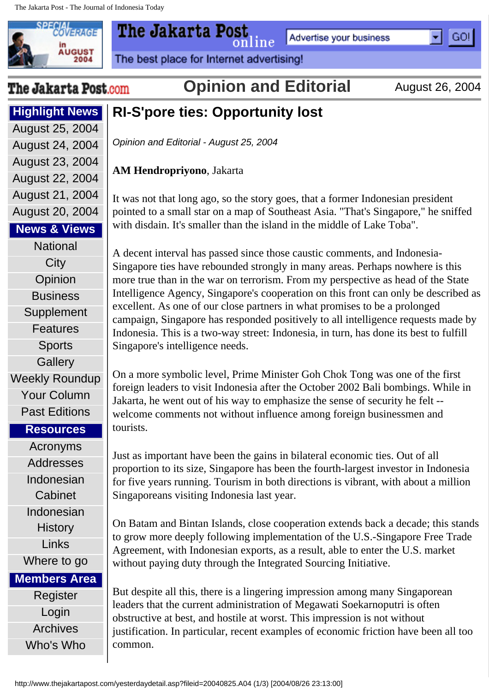

**Highlight News**

Advertise your business

The best place for Internet advertising!

The Jakarta Post.com

**Opinion and Editorial** August 26, 2004

online

l GO!

## **RI-S'pore ties: Opportunity lost**

*Opinion and Editorial - August 25, 2004*

**AM Hendropriyono**, Jakarta

The Jakarta Post

It was not that long ago, so the story goes, that a former Indonesian president pointed to a small star on a map of Southeast Asia. "That's Singapore," he sniffed with disdain. It's smaller than the island in the middle of Lake Toba".

A decent interval has passed since those caustic comments, and Indonesia-Singapore ties have rebounded strongly in many areas. Perhaps nowhere is this more true than in the war on terrorism. From my perspective as head of the State Intelligence Agency, Singapore's cooperation on this front can only be described as excellent. As one of our close partners in what promises to be a prolonged campaign, Singapore has responded positively to all intelligence requests made by Indonesia. This is a two-way street: Indonesia, in turn, has done its best to fulfill Singapore's intelligence needs.

On a more symbolic level, Prime Minister Goh Chok Tong was one of the first foreign leaders to visit Indonesia after the October 2002 Bali bombings. While in Jakarta, he went out of his way to emphasize the sense of security he felt - welcome comments not without influence among foreign businessmen and tourists.

Just as important have been the gains in bilateral economic ties. Out of all proportion to its size, Singapore has been the fourth-largest investor in Indonesia for five years running. Tourism in both directions is vibrant, with about a million Singaporeans visiting Indonesia last year.

On Batam and Bintan Islands, close cooperation extends back a decade; this stands to grow more deeply following implementation of the U.S.-Singapore Free Trade Agreement, with Indonesian exports, as a result, able to enter the U.S. market without paying duty through the Integrated Sourcing Initiative.

But despite all this, there is a lingering impression among many Singaporean leaders that the current administration of Megawati Soekarnoputri is often obstructive at best, and hostile at worst. This impression is not without justification. In particular, recent examples of economic friction have been all too common.

[August 25, 2004](http://www.thejakartapost.com/yesterday.asp?edition=20040825) [August 24, 2004](http://www.thejakartapost.com/yesterday.asp?edition=20040824) [August 23, 2004](http://www.thejakartapost.com/yesterday.asp?edition=20040823) [August 22, 2004](http://www.thejakartapost.com/yesterday.asp?edition=20040822) [August 21, 2004](http://www.thejakartapost.com/yesterday.asp?edition=20040821) [August 20, 2004](http://www.thejakartapost.com/yesterday.asp?edition=20040820) **News & Views [National](http://www.thejakartapost.com/national.asp) [City](http://www.thejakartapost.com/city.asp) [Opinion](http://www.thejakartapost.com/editorial.asp) [Business](http://www.thejakartapost.com/business.asp) [Supplement](http://www.thejakartapost.com/supplement.asp)** [Features](http://www.thejakartapost.com/features.asp) **[Sports](http://www.thejakartapost.com/sports.asp) [Gallery](http://www.thejakartapost.com/gallery.asp)** [Weekly Roundup](http://www.thejakartapost.com/weekly.asp) [Your Column](http://www.thejakartapost.com/columns.asp) [Past Editions](http://www.thejakartapost.com/yesterday.asp) **Resources** [Acronyms](http://www.thejakartapost.com/resources/acronyms.asp) [Addresses](http://www.thejakartapost.com/resources/address_embassies.asp) [Indonesian](http://www.thejakartapost.com/resources/cabinets/cabinet.asp)  **[Cabinet](http://www.thejakartapost.com/resources/cabinets/cabinet.asp)** [Indonesian](http://www.thejakartapost.com/history/history.asp)  **[History](http://www.thejakartapost.com/history/history.asp)** [Links](http://www.thejakartapost.com/resources/LINKS.ASP) [Where to go](http://www.thejakartapost.com/wtg_jkt.asp)

**Members Area**

[Register](http://www.thejakartapost.com/members/Register2.asp) [Login](http://www.thejakartapost.com/members/login.asp) [Archives](http://www.thejakartapost.com/Archives/Archives2.asp) [Who's Who](http://www.thejakartapost.com/who/PeopleList.asp)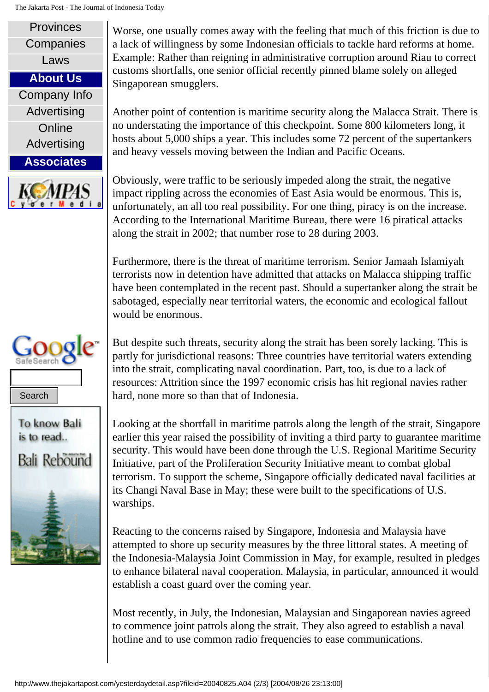## The Jakarta Post - The Journal of Indonesia Today







Worse, one usually comes away with the feeling that much of this friction is due to a lack of willingness by some Indonesian officials to tackle hard reforms at home. Example: Rather than reigning in administrative corruption around Riau to correct customs shortfalls, one senior official recently pinned blame solely on alleged Singaporean smugglers.

Another point of contention is maritime security along the Malacca Strait. There is no understating the importance of this checkpoint. Some 800 kilometers long, it hosts about 5,000 ships a year. This includes some 72 percent of the supertankers and heavy vessels moving between the Indian and Pacific Oceans.

Obviously, were traffic to be seriously impeded along the strait, the negative impact rippling across the economies of East Asia would be enormous. This is, unfortunately, an all too real possibility. For one thing, piracy is on the increase. According to the International Maritime Bureau, there were 16 piratical attacks along the strait in 2002; that number rose to 28 during 2003.

Furthermore, there is the threat of maritime terrorism. Senior Jamaah Islamiyah terrorists now in detention have admitted that attacks on Malacca shipping traffic have been contemplated in the recent past. Should a supertanker along the strait be sabotaged, especially near territorial waters, the economic and ecological fallout would be enormous.

But despite such threats, security along the strait has been sorely lacking. This is partly for jurisdictional reasons: Three countries have territorial waters extending into the strait, complicating naval coordination. Part, too, is due to a lack of resources: Attrition since the 1997 economic crisis has hit regional navies rather hard, none more so than that of Indonesia.

Looking at the shortfall in maritime patrols along the length of the strait, Singapore earlier this year raised the possibility of inviting a third party to guarantee maritime security. This would have been done through the U.S. Regional Maritime Security Initiative, part of the Proliferation Security Initiative meant to combat global terrorism. To support the scheme, Singapore officially dedicated naval facilities at its Changi Naval Base in May; these were built to the specifications of U.S. warships. Search<br> **Example 18.** Looking at the shortfall in maritime patrols along the<br> **Example 18.** Looking at the shortfall in maritime patrols along the<br>
security. This would have been done through the U.<br>
Initiative, part of th

Reacting to the concerns raised by Singapore, Indonesia and Malaysia have attempted to shore up security measures by the three littoral states. A meeting of the Indonesia-Malaysia Joint Commission in May, for example, resulted in pledges to enhance bilateral naval cooperation. Malaysia, in particular, announced it would establish a coast guard over the coming year.

Most recently, in July, the Indonesian, Malaysian and Singaporean navies agreed to commence joint patrols along the strait. They also agreed to establish a naval hotline and to use common radio frequencies to ease communications.